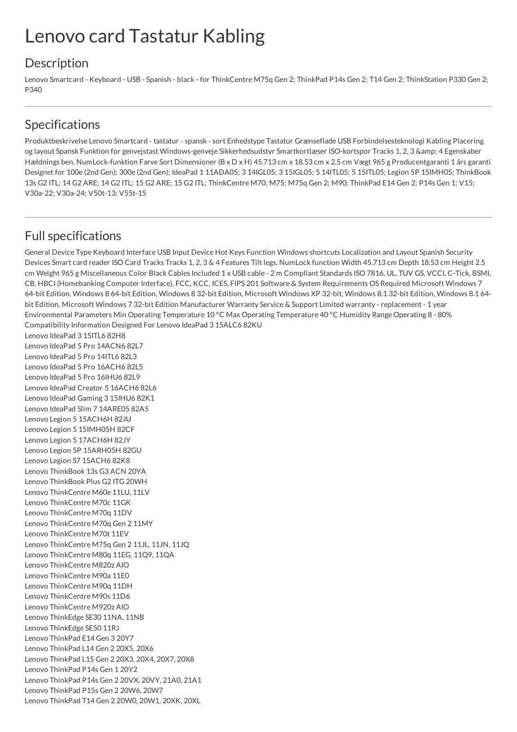## Lenovo card Tastatur Kabling

## **Description**

Lenovo Smartcard - Keyboard - USB - Spanish - black - for ThinkCentre M75q Gen 2; ThinkPad P14s Gen 2; T14 Gen 2; ThinkStation P330 Gen 2; P340

## Specifications

Produktbeskrivelse Lenovo Smartcard - tastatur - spansk - sort Enhedstype Tastatur Grænseflade USB Forbindelsesteknologi Kabling Placering og layout Spansk Funktion for genvejstast Windows-genveje Sikkerhedsudstyr Smartkortlæser ISO-kortspor Tracks 1, 2, 3 & amp; 4 Egenskaber Hældnings ben, NumLock-funktion Farve Sort Dimensioner (B x D x H) 45.713 cm x 18.53 cm x 2.5 cm Vægt 965 g Producentgaranti 1 års garanti Designet for 100e (2nd Gen); 300e (2nd Gen); IdeaPad 1 11ADA05; 3 14IGL05; 3 15IGL05; 5 14ITL05; 5 15ITL05; Legion 5P 15IMH05; ThinkBook 13s G2 ITL; 14 G2 ARE; 14 G2 ITL; 15 G2 ARE; 15 G2 ITL; ThinkCentre M70; M75; M75q Gen 2; M90; ThinkPad E14 Gen 2; P14s Gen 1; V15; V30a-22; V30a-24; V50t-13; V55t-15

## Full specifications

General Device Type Keyboard Interface USB Input Device Hot Keys Function Windows shortcuts Localization and Layout Spanish Security Devices Smart card reader ISO Card Tracks Tracks 1, 2, 3 & 4 Features Tilt legs, NumLock function Width 45.713 cm Depth 18.53 cm Height 2.5 cm Weight 965 g Miscellaneous Color Black Cables Included 1 x USB cable - 2 m Compliant Standards ISO 7816, UL, TUV GS, VCCI, C-Tick, BSMI, CB, HBCI (Homebanking Computer Interface), FCC, KCC, ICES, FIPS 201 Software & System Requirements OS Required Microsoft Windows 7 64-bit Edition, Windows 8 64-bit Edition, Windows 8 32-bit Edition, Microsoft Windows XP 32-bit, Windows 8.1 32-bit Edition, Windows 8.1 64 bit Edition, Microsoft Windows 7 32-bit Edition Manufacturer Warranty Service & Support Limited warranty - replacement - 1 year Environmental Parameters Min Operating Temperature 10 °C Max Operating Temperature 40 °C Humidity Range Operating 8 - 80% Compatibility Information Designed For Lenovo IdeaPad 3 15ALC6 82KU

Lenovo IdeaPad 3 15ITL6 82H8 Lenovo IdeaPad 5 Pro 14ACN6 82L7 Lenovo IdeaPad 5 Pro 14ITL6 82L3 Lenovo IdeaPad 5 Pro 16ACH6 82L5 Lenovo IdeaPad 5 Pro 16IHU6 82L9 Lenovo IdeaPad Creator 5 16ACH6 82L6 Lenovo IdeaPad Gaming 3 15IHU6 82K1 Lenovo IdeaPad Slim 7 14ARE05 82A5 Lenovo Legion 5 15ACH6H 82JU Lenovo Legion 5 15IMH05H 82CF Lenovo Legion 5 17ACH6H 82JY Lenovo Legion 5P 15ARH05H 82GU Lenovo Legion S7 15ACH6 82K8 Lenovo ThinkBook 13s G3 ACN 20YA Lenovo ThinkBook Plus G2 ITG 20WH Lenovo ThinkCentre M60e 11LU, 11LV Lenovo ThinkCentre M70c 11GK Lenovo ThinkCentre M70q 11DV Lenovo ThinkCentre M70q Gen 2 11MY Lenovo ThinkCentre M70t 11EV Lenovo ThinkCentre M75q Gen 2 11JL, 11JN, 11JQ Lenovo ThinkCentre M80q 11EG, 11Q9, 11QA Lenovo ThinkCentre M820z AIO Lenovo ThinkCentre M90a 11E0 Lenovo ThinkCentre M90q 11DH Lenovo ThinkCentre M90s 11D6 Lenovo ThinkCentre M920z AIO Lenovo ThinkEdge SE30 11NA, 11NB Lenovo ThinkEdge SE50 11RJ Lenovo ThinkPad E14 Gen 3 20Y7 Lenovo ThinkPad L14 Gen 2 20X5, 20X6 Lenovo ThinkPad L15 Gen 2 20X3, 20X4, 20X7, 20X8 Lenovo ThinkPad P14s Gen 1 20Y2 Lenovo ThinkPad P14s Gen 2 20VX, 20VY, 21A0, 21A1 Lenovo ThinkPad P15s Gen 2 20W6, 20W7 Lenovo ThinkPad T14 Gen 2 20W0, 20W1, 20XK, 20XL